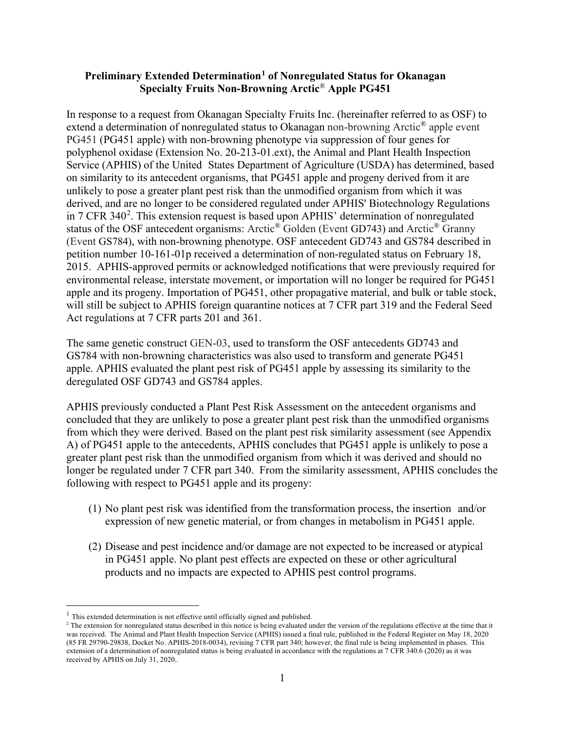#### **Preliminary Extended Determination[1](#page-0-0) of Nonregulated Status for Okanagan Specialty Fruits Non-Browning Arctic**® **Apple PG451**

In response to a request from Okanagan Specialty Fruits Inc. (hereinafter referred to as OSF) to extend a determination of nonregulated status to Okanagan non-browning Arctic® apple event PG451 (PG451 apple) with non-browning phenotype via suppression of four genes for polyphenol oxidase (Extension No. 20-213-01.ext), the Animal and Plant Health Inspection Service (APHIS) of the United States Department of Agriculture (USDA) has determined, based on similarity to its antecedent organisms, that PG451 apple and progeny derived from it are unlikely to pose a greater plant pest risk than the unmodified organism from which it was derived, and are no longer to be considered regulated under APHIS' Biotechnology Regulations in  $7$  CFR 340<sup>[2](#page-0-1)</sup>. This extension request is based upon APHIS' determination of nonregulated status of the OSF antecedent organisms: Arctic® Golden (Event GD743) and Arctic® Granny (Event GS784), with non-browning phenotype. OSF antecedent GD743 and GS784 described in petition number 10-161-01p received a determination of non-regulated status on February 18, 2015. APHIS-approved permits or acknowledged notifications that were previously required for environmental release, interstate movement, or importation will no longer be required for PG451 apple and its progeny. Importation of PG451, other propagative material, and bulk or table stock, will still be subject to APHIS foreign quarantine notices at 7 CFR part 319 and the Federal Seed Act regulations at 7 CFR parts 201 and 361.

The same genetic construct GEN-03, used to transform the OSF antecedents GD743 and GS784 with non-browning characteristics was also used to transform and generate PG451 apple. APHIS evaluated the plant pest risk of PG451 apple by assessing its similarity to the deregulated OSF GD743 and GS784 apples.

APHIS previously conducted a Plant Pest Risk Assessment on the antecedent organisms and concluded that they are unlikely to pose a greater plant pest risk than the unmodified organisms from which they were derived. Based on the plant pest risk similarity assessment (see Appendix A) of PG451 apple to the antecedents, APHIS concludes that PG451 apple is unlikely to pose a greater plant pest risk than the unmodified organism from which it was derived and should no longer be regulated under 7 CFR part 340. From the similarity assessment, APHIS concludes the following with respect to PG451 apple and its progeny:

- (1) No plant pest risk was identified from the transformation process, the insertion and/or expression of new genetic material, or from changes in metabolism in PG451 apple.
- (2) Disease and pest incidence and/or damage are not expected to be increased or atypical in PG451 apple. No plant pest effects are expected on these or other agricultural products and no impacts are expected to APHIS pest control programs.

<span id="page-0-0"></span> $1$  This extended determination is not effective until officially signed and published.

<span id="page-0-1"></span><sup>&</sup>lt;sup>2</sup> The extension for nonregulated status described in this notice is being evaluated under the version of the regulations effective at the time that it was received.  The Animal and Plant Health Inspection Service (APHIS) issued a final rule, published in the Federal Register on May 18, 2020 (85 FR 29790-29838, Docket No. APHIS-2018-0034), revising 7 CFR part 340; however, the final rule is being implemented in phases.  This extension of a determination of nonregulated status is being evaluated in accordance with the regulations at 7 CFR 340.6 (2020) as it was received by APHIS on July 31, 2020..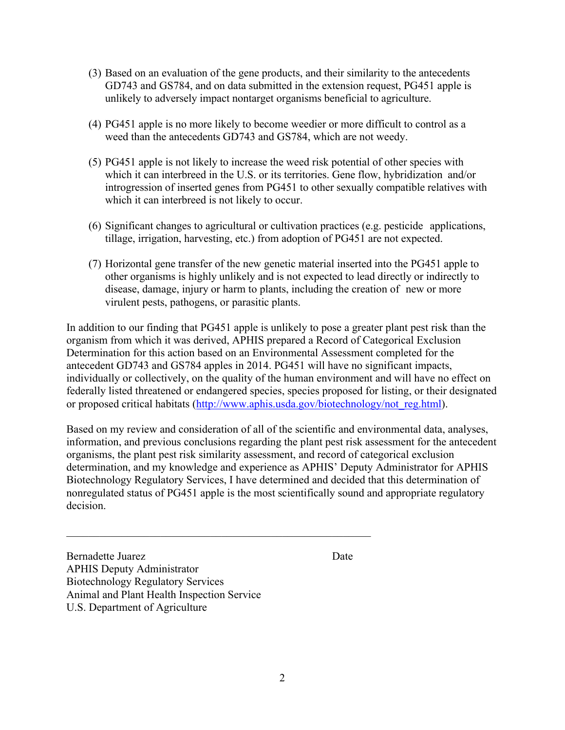- (3) Based on an evaluation of the gene products, and their similarity to the antecedents GD743 and GS784, and on data submitted in the extension request, PG451 apple is unlikely to adversely impact nontarget organisms beneficial to agriculture.
- (4) PG451 apple is no more likely to become weedier or more difficult to control as a weed than the antecedents GD743 and GS784, which are not weedy.
- (5) PG451 apple is not likely to increase the weed risk potential of other species with which it can interbreed in the U.S. or its territories. Gene flow, hybridization and/or introgression of inserted genes from PG451 to other sexually compatible relatives with which it can interbreed is not likely to occur.
- (6) Significant changes to agricultural or cultivation practices (e.g. pesticide applications, tillage, irrigation, harvesting, etc.) from adoption of PG451 are not expected.
- (7) Horizontal gene transfer of the new genetic material inserted into the PG451 apple to other organisms is highly unlikely and is not expected to lead directly or indirectly to disease, damage, injury or harm to plants, including the creation of new or more virulent pests, pathogens, or parasitic plants.

In addition to our finding that PG451 apple is unlikely to pose a greater plant pest risk than the organism from which it was derived, APHIS prepared a Record of Categorical Exclusion Determination for this action based on an Environmental Assessment completed for the antecedent GD743 and GS784 apples in 2014. PG451 will have no significant impacts, individually or collectively, on the quality of the human environment and will have no effect on federally listed threatened or endangered species, species proposed for listing, or their designated or proposed critical habitats [\(http://www.aphis.usda.gov/biotechnology/not\\_reg.html\)](http://www.aphis.usda.gov/biotechnology/not_reg.html).

Based on my review and consideration of all of the scientific and environmental data, analyses, information, and previous conclusions regarding the plant pest risk assessment for the antecedent organisms, the plant pest risk similarity assessment, and record of categorical exclusion determination, and my knowledge and experience as APHIS' Deputy Administrator for APHIS Biotechnology Regulatory Services, I have determined and decided that this determination of nonregulated status of PG451 apple is the most scientifically sound and appropriate regulatory decision.

Bernadette Juarez Date APHIS Deputy Administrator Biotechnology Regulatory Services Animal and Plant Health Inspection Service U.S. Department of Agriculture

 $\mathcal{L}_\text{max}$  and  $\mathcal{L}_\text{max}$  and  $\mathcal{L}_\text{max}$  and  $\mathcal{L}_\text{max}$  and  $\mathcal{L}_\text{max}$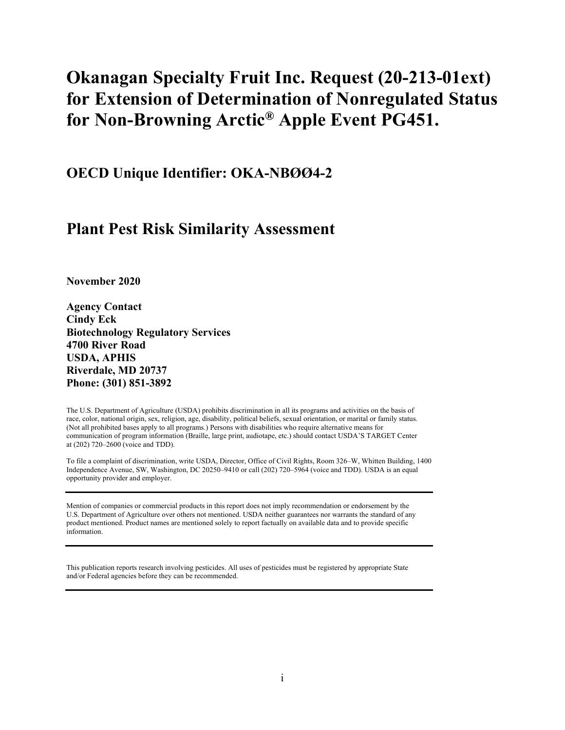# **Okanagan Specialty Fruit Inc. Request (20-213-01ext) for Extension of Determination of Nonregulated Status for Non-Browning Arctic® Apple Event PG451.**

**OECD Unique Identifier: OKA-NBØØ4-2**

## **Plant Pest Risk Similarity Assessment**

**November 2020**

**Agency Contact Cindy Eck Biotechnology Regulatory Services 4700 River Road USDA, APHIS Riverdale, MD 20737 Phone: (301) 851-3892**

The U.S. Department of Agriculture (USDA) prohibits discrimination in all its programs and activities on the basis of race, color, national origin, sex, religion, age, disability, political beliefs, sexual orientation, or marital or family status. (Not all prohibited bases apply to all programs.) Persons with disabilities who require alternative means for communication of program information (Braille, large print, audiotape, etc.) should contact USDA'S TARGET Center at (202) 720–2600 (voice and TDD).

To file a complaint of discrimination, write USDA, Director, Office of Civil Rights, Room 326–W, Whitten Building, 1400 Independence Avenue, SW, Washington, DC 20250–9410 or call (202) 720–5964 (voice and TDD). USDA is an equal opportunity provider and employer.

Mention of companies or commercial products in this report does not imply recommendation or endorsement by the U.S. Department of Agriculture over others not mentioned. USDA neither guarantees nor warrants the standard of any product mentioned. Product names are mentioned solely to report factually on available data and to provide specific information.

This publication reports research involving pesticides. All uses of pesticides must be registered by appropriate State and/or Federal agencies before they can be recommended.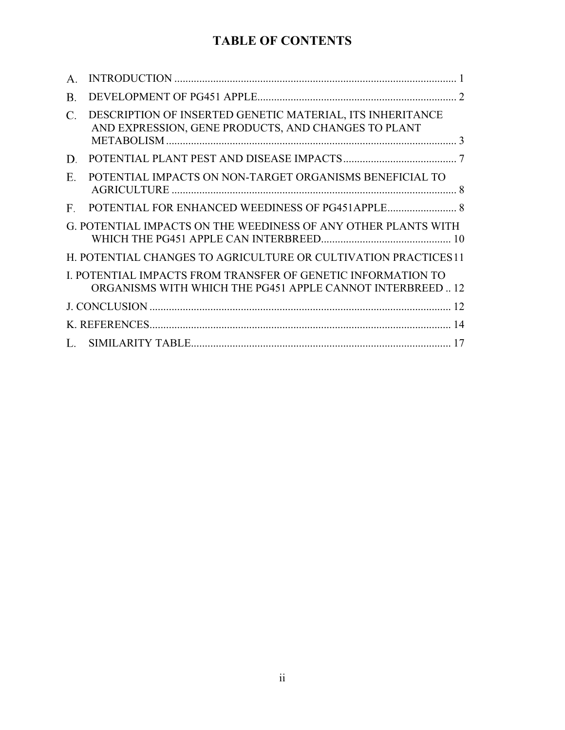## **TABLE OF CONTENTS**

| $A_{.}$     |                                                                                                                           |  |
|-------------|---------------------------------------------------------------------------------------------------------------------------|--|
| Β.          |                                                                                                                           |  |
| C.          | DESCRIPTION OF INSERTED GENETIC MATERIAL, ITS INHERITANCE<br>AND EXPRESSION, GENE PRODUCTS, AND CHANGES TO PLANT          |  |
| D.          |                                                                                                                           |  |
| E.          | POTENTIAL IMPACTS ON NON-TARGET ORGANISMS BENEFICIAL TO                                                                   |  |
| $F_{\cdot}$ |                                                                                                                           |  |
|             | G. POTENTIAL IMPACTS ON THE WEEDINESS OF ANY OTHER PLANTS WITH                                                            |  |
|             | H. POTENTIAL CHANGES TO AGRICULTURE OR CULTIVATION PRACTICES 11                                                           |  |
|             | I. POTENTIAL IMPACTS FROM TRANSFER OF GENETIC INFORMATION TO<br>ORGANISMS WITH WHICH THE PG451 APPLE CANNOT INTERBREED 12 |  |
|             |                                                                                                                           |  |
|             |                                                                                                                           |  |
|             |                                                                                                                           |  |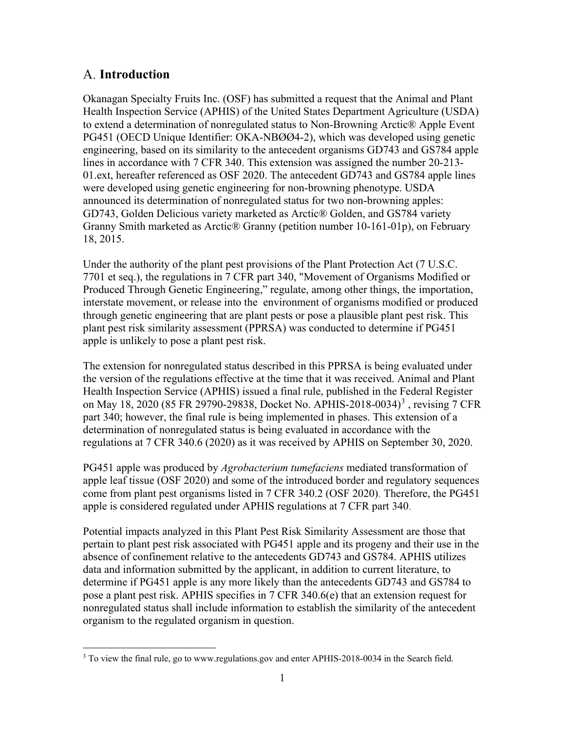#### <span id="page-4-0"></span>**Introduction**

Okanagan Specialty Fruits Inc. (OSF) has submitted a request that the Animal and Plant Health Inspection Service (APHIS) of the United States Department Agriculture (USDA) to extend a determination of nonregulated status to Non-Browning Arctic® Apple Event PG451 (OECD Unique Identifier: OKA-NBØØ4-2), which was developed using genetic engineering, based on its similarity to the antecedent organisms GD743 and GS784 apple lines in accordance with 7 CFR 340. This extension was assigned the number 20-213- 01.ext, hereafter referenced as OSF 2020. The antecedent GD743 and GS784 apple lines were developed using genetic engineering for non-browning phenotype. USDA announced its determination of nonregulated status for two non-browning apples: GD743, Golden Delicious variety marketed as Arctic® Golden, and GS784 variety Granny Smith marketed as Arctic® Granny (petition number 10-161-01p), on February 18, 2015.

Under the authority of the plant pest provisions of the Plant Protection Act (7 U.S.C. 7701 et seq.), the regulations in 7 CFR part 340, "Movement of Organisms Modified or Produced Through Genetic Engineering," regulate, among other things, the importation, interstate movement, or release into the environment of organisms modified or produced through genetic engineering that are plant pests or pose a plausible plant pest risk. This plant pest risk similarity assessment (PPRSA) was conducted to determine if PG451 apple is unlikely to pose a plant pest risk.

The extension for nonregulated status described in this PPRSA is being evaluated under the version of the regulations effective at the time that it was received. Animal and Plant Health Inspection Service (APHIS) issued a final rule, published in the Federal Register on May 18, 2020 (85 FR 29790-298[3](#page-4-1)8, Docket No. APHIS-2018-0034)<sup>3</sup>, revising 7 CFR part 340; however, the final rule is being implemented in phases. This extension of a determination of nonregulated status is being evaluated in accordance with the regulations at 7 CFR 340.6 (2020) as it was received by APHIS on September 30, 2020.

PG451 apple was produced by *Agrobacterium tumefaciens* mediated transformation of apple leaf tissue [\(OSF 2020\)](#page-18-0) and some of the introduced border and regulatory sequences come from plant pest organisms listed in 7 CFR 340.2 [\(OSF 2020\)](#page-18-0). Therefore, the PG451 apple is considered regulated under APHIS regulations at 7 CFR part 340.

Potential impacts analyzed in this Plant Pest Risk Similarity Assessment are those that pertain to plant pest risk associated with PG451 apple and its progeny and their use in the absence of confinement relative to the antecedents GD743 and GS784. APHIS utilizes data and information submitted by the applicant, in addition to current literature, to determine if PG451 apple is any more likely than the antecedents GD743 and GS784 to pose a plant pest risk. APHIS specifies in 7 CFR 340.6(e) that an extension request for nonregulated status shall include information to establish the similarity of the antecedent organism to the regulated organism in question.

<span id="page-4-1"></span><sup>&</sup>lt;sup>3</sup> To view the final rule, go to www.regulations.gov and enter APHIS-2018-0034 in the Search field.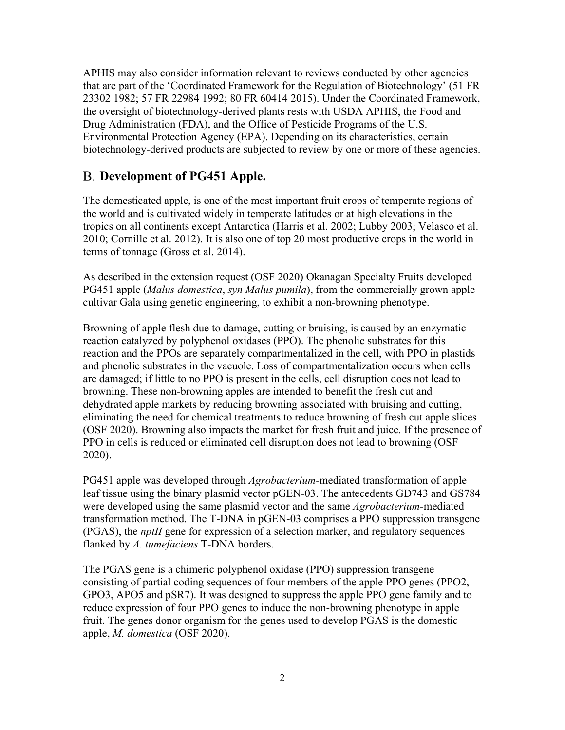APHIS may also consider information relevant to reviews conducted by other agencies that are part of the 'Coordinated Framework for the Regulation of Biotechnology' [\(51 FR](#page-17-1)  [23302 1982;](#page-17-1) [57 FR 22984 1992;](#page-17-2) [80 FR 60414 2015\)](#page-17-3). Under the Coordinated Framework, the oversight of biotechnology-derived plants rests with USDA APHIS, the Food and Drug Administration (FDA), and the Office of Pesticide Programs of the U.S. Environmental Protection Agency (EPA). Depending on its characteristics, certain biotechnology-derived products are subjected to review by one or more of these agencies.

### <span id="page-5-0"></span>**Development of PG451 Apple.**

The domesticated apple, is one of the most important fruit crops of temperate regions of the world and is cultivated widely in temperate latitudes or at high elevations in the tropics on all continents except Antarctica [\(Harris et al. 2002;](#page-17-4) [Lubby 2003;](#page-18-1) [Velasco et al.](#page-19-0)  [2010;](#page-19-0) [Cornille et al. 2012\)](#page-17-5). It is also one of top 20 most productive crops in the world in terms of tonnage [\(Gross et al. 2014\)](#page-17-6).

As described in the extension request [\(OSF 2020\)](#page-18-0) Okanagan Specialty Fruits developed PG451 apple (*Malus domestica*, *syn Malus pumila*), from the commercially grown apple cultivar Gala using genetic engineering, to exhibit a non-browning phenotype.

Browning of apple flesh due to damage, cutting or bruising, is caused by an enzymatic reaction catalyzed by polyphenol oxidases (PPO). The phenolic substrates for this reaction and the PPOs are separately compartmentalized in the cell, with PPO in plastids and phenolic substrates in the vacuole. Loss of compartmentalization occurs when cells are damaged; if little to no PPO is present in the cells, cell disruption does not lead to browning. These non-browning apples are intended to benefit the fresh cut and dehydrated apple markets by reducing browning associated with bruising and cutting, eliminating the need for chemical treatments to reduce browning of fresh cut apple slices [\(OSF 2020\)](#page-18-0). Browning also impacts the market for fresh fruit and juice. If the presence of PPO in cells is reduced or eliminated cell disruption does not lead to browning [\(OSF](#page-18-0)  [2020\)](#page-18-0).

PG451 apple was developed through *Agrobacterium*-mediated transformation of apple leaf tissue using the binary plasmid vector pGEN-03. The antecedents GD743 and GS784 were developed using the same plasmid vector and the same *Agrobacterium*-mediated transformation method. The T-DNA in pGEN-03 comprises a PPO suppression transgene (PGAS), the *nptII* gene for expression of a selection marker, and regulatory sequences flanked by *A*. *tumefaciens* T-DNA borders.

The PGAS gene is a chimeric polyphenol oxidase (PPO) suppression transgene consisting of partial coding sequences of four members of the apple PPO genes (PPO2, GPO3, APO5 and pSR7). It was designed to suppress the apple PPO gene family and to reduce expression of four PPO genes to induce the non-browning phenotype in apple fruit. The genes donor organism for the genes used to develop PGAS is the domestic apple, *M. domestica* [\(OSF 2020\)](#page-18-0).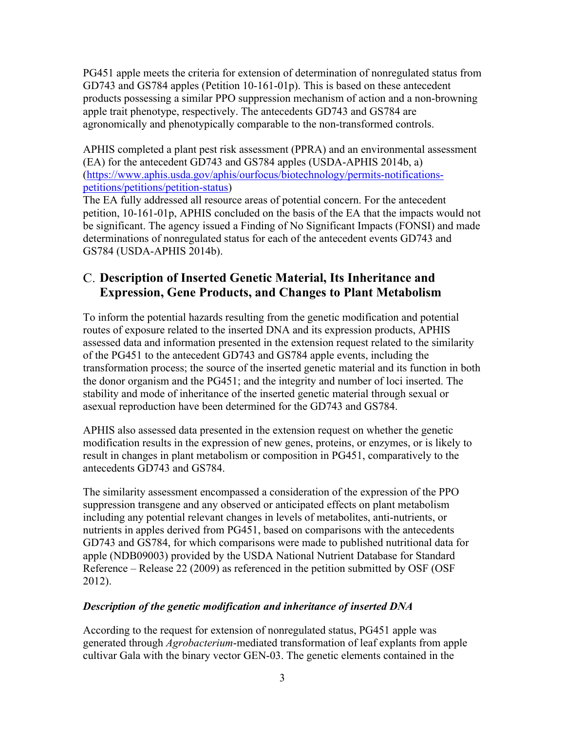PG451 apple meets the criteria for extension of determination of nonregulated status from GD743 and GS784 apples (Petition 10-161-01p). This is based on these antecedent products possessing a similar PPO suppression mechanism of action and a non-browning apple trait phenotype, respectively. The antecedents GD743 and GS784 are agronomically and phenotypically comparable to the non-transformed controls.

APHIS completed a plant pest risk assessment (PPRA) and an environmental assessment (EA) for the antecedent GD743 and GS784 apples [\(USDA-APHIS 2014b,](#page-18-2) [a\)](#page-18-3) [\(https://www.aphis.usda.gov/aphis/ourfocus/biotechnology/permits-notifications](https://www.aphis.usda.gov/aphis/ourfocus/biotechnology/permits-notifications-petitions/petitions/petition-status)[petitions/petitions/petition-status\)](https://www.aphis.usda.gov/aphis/ourfocus/biotechnology/permits-notifications-petitions/petitions/petition-status)

The EA fully addressed all resource areas of potential concern. For the antecedent petition, 10-161-01p, APHIS concluded on the basis of the EA that the impacts would not be significant. The agency issued a Finding of No Significant Impacts (FONSI) and made determinations of nonregulated status for each of the antecedent events GD743 and GS784 [\(USDA-APHIS 2014b\)](#page-18-2).

### <span id="page-6-0"></span>**Description of Inserted Genetic Material, Its Inheritance and Expression, Gene Products, and Changes to Plant Metabolism**

To inform the potential hazards resulting from the genetic modification and potential routes of exposure related to the inserted DNA and its expression products, APHIS assessed data and information presented in the extension request related to the similarity of the PG451 to the antecedent GD743 and GS784 apple events, including the transformation process; the source of the inserted genetic material and its function in both the donor organism and the PG451; and the integrity and number of loci inserted. The stability and mode of inheritance of the inserted genetic material through sexual or asexual reproduction have been determined for the GD743 and GS784.

APHIS also assessed data presented in the extension request on whether the genetic modification results in the expression of new genes, proteins, or enzymes, or is likely to result in changes in plant metabolism or composition in PG451, comparatively to the antecedents GD743 and GS784.

The similarity assessment encompassed a consideration of the expression of the PPO suppression transgene and any observed or anticipated effects on plant metabolism including any potential relevant changes in levels of metabolites, anti-nutrients, or nutrients in apples derived from PG451, based on comparisons with the antecedents GD743 and GS784, for which comparisons were made to published nutritional data for apple (NDB09003) provided by the USDA National Nutrient Database for Standard Reference – Release 22 (2009) as referenced in the petition submitted by OSF [\(OSF](#page-18-4)  [2012\)](#page-18-4).

#### *Description of the genetic modification and inheritance of inserted DNA*

According to the request for extension of nonregulated status, PG451 apple was generated through *Agrobacterium*-mediated transformation of leaf explants from apple cultivar Gala with the binary vector GEN-03. The genetic elements contained in the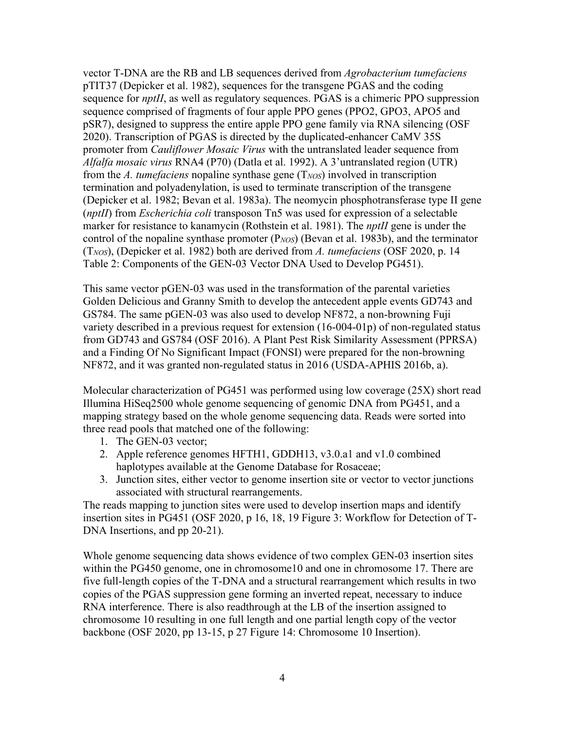vector T-DNA are the RB and LB sequences derived from *Agrobacterium tumefaciens* pTIT37 [\(Depicker et al. 1982\)](#page-17-7), sequences for the transgene PGAS and the coding sequence for *nptII*, as well as regulatory sequences. PGAS is a chimeric PPO suppression sequence comprised of fragments of four apple PPO genes (PPO2, GPO3, APO5 and pSR7), designed to suppress the entire apple PPO gene family via RNA silencing [\(OSF](#page-18-0)  [2020\)](#page-18-0). Transcription of PGAS is directed by the duplicated-enhancer CaMV 35S promoter from *Cauliflower Mosaic Virus* with the untranslated leader sequence from *Alfalfa mosaic virus* RNA4 (P70) [\(Datla et al. 1992\)](#page-17-8). A 3'untranslated region (UTR) from the *A. tumefaciens* nopaline synthase gene (T*NOS*) involved in transcription termination and polyadenylation, is used to terminate transcription of the transgene [\(Depicker et al. 1982;](#page-17-7) [Bevan et al. 1983a\)](#page-17-9). The neomycin phosphotransferase type II gene (*nptII*) from *Escherichia coli* transposon Tn5 was used for expression of a selectable marker for resistance to kanamycin [\(Rothstein et al. 1981\)](#page-18-5). The *nptII* gene is under the control of the nopaline synthase promoter (P*NOS*) [\(Bevan et al. 1983b\)](#page-17-10), and the terminator (T*NOS*), [\(Depicker et al. 1982\)](#page-17-7) both are derived from *A. tumefaciens* [\(OSF 2020, p. 14](#page-18-0)  [Table 2: Components of the GEN-03 Vector DNA Used to Develop PG451\)](#page-18-0).

This same vector pGEN-03 was used in the transformation of the parental varieties Golden Delicious and Granny Smith to develop the antecedent apple events GD743 and GS784. The same pGEN-03 was also used to develop NF872, a non-browning Fuji variety described in a previous request for extension (16-004-01p) of non-regulated status from GD743 and GS784 [\(OSF 2016\)](#page-18-6). A Plant Pest Risk Similarity Assessment (PPRSA) and a Finding Of No Significant Impact (FONSI) were prepared for the non-browning NF872, and it was granted non-regulated status in 2016 [\(USDA-APHIS 2016b,](#page-19-1) [a\)](#page-18-7).

Molecular characterization of PG451 was performed using low coverage (25X) short read Illumina HiSeq2500 whole genome sequencing of genomic DNA from PG451, and a mapping strategy based on the whole genome sequencing data. Reads were sorted into three read pools that matched one of the following:

- 1. The GEN-03 vector;
- 2. Apple reference genomes HFTH1, GDDH13, v3.0.a1 and v1.0 combined haplotypes available at the Genome Database for Rosaceae;
- 3. Junction sites, either vector to genome insertion site or vector to vector junctions associated with structural rearrangements.

The reads mapping to junction sites were used to develop insertion maps and identify insertion sites in PG451 [\(OSF 2020, p 16, 18, 19 Figure 3: Workflow for Detection of T-](#page-18-0)[DNA Insertions, and pp 20-21\)](#page-18-0).

Whole genome sequencing data shows evidence of two complex GEN-03 insertion sites within the PG450 genome, one in chromosome10 and one in chromosome 17. There are five full-length copies of the T-DNA and a structural rearrangement which results in two copies of the PGAS suppression gene forming an inverted repeat, necessary to induce RNA interference. There is also readthrough at the LB of the insertion assigned to chromosome 10 resulting in one full length and one partial length copy of the vector backbone [\(OSF 2020, pp 13-15, p 27 Figure 14: Chromosome 10 Insertion\)](#page-18-0).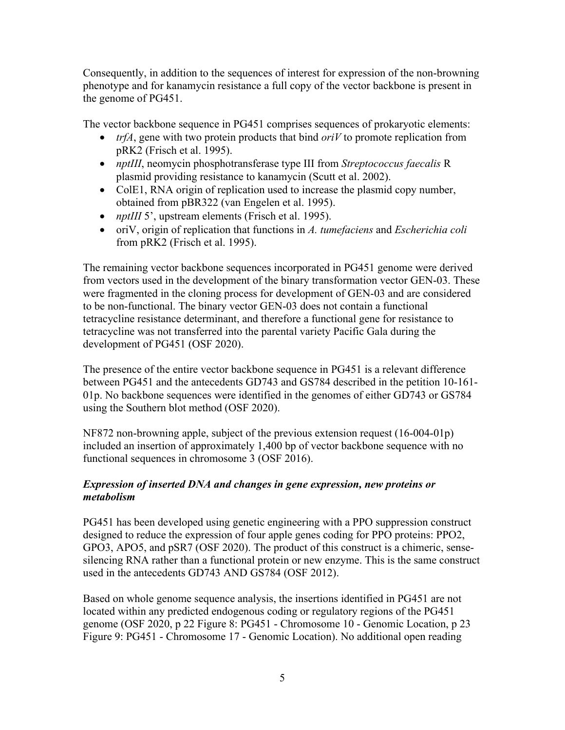Consequently, in addition to the sequences of interest for expression of the non-browning phenotype and for kanamycin resistance a full copy of the vector backbone is present in the genome of PG451.

The vector backbone sequence in PG451 comprises sequences of prokaryotic elements:

- *trfA*, gene with two protein products that bind *oriV* to promote replication from pRK2 [\(Frisch et al. 1995\)](#page-17-11).
- *nptIII*, neomycin phosphotransferase type III from *Streptococcus faecalis* R plasmid providing resistance to kanamycin [\(Scutt et al. 2002\)](#page-18-8).
- ColE1, RNA origin of replication used to increase the plasmid copy number, obtained from pBR322 [\(van Engelen et al. 1995\)](#page-19-2).
- *nptIII* 5', upstream elements [\(Frisch et al. 1995\)](#page-17-11).
- oriV, origin of replication that functions in *A. tumefaciens* and *Escherichia coli* from pRK2 [\(Frisch et al. 1995\)](#page-17-11).

The remaining vector backbone sequences incorporated in PG451 genome were derived from vectors used in the development of the binary transformation vector GEN-03. These were fragmented in the cloning process for development of GEN-03 and are considered to be non-functional. The binary vector GEN-03 does not contain a functional tetracycline resistance determinant, and therefore a functional gene for resistance to tetracycline was not transferred into the parental variety Pacific Gala during the development of PG451 [\(OSF 2020\)](#page-18-0).

The presence of the entire vector backbone sequence in PG451 is a relevant difference between PG451 and the antecedents GD743 and GS784 described in the petition 10-161- 01p. No backbone sequences were identified in the genomes of either GD743 or GS784 using the Southern blot method [\(OSF 2020\)](#page-18-0).

NF872 non-browning apple, subject of the previous extension request (16-004-01p) included an insertion of approximately 1,400 bp of vector backbone sequence with no functional sequences in chromosome 3 [\(OSF 2016\)](#page-18-6).

#### *Expression of inserted DNA and changes in gene expression, new proteins or metabolism*

PG451 has been developed using genetic engineering with a PPO suppression construct designed to reduce the expression of four apple genes coding for PPO proteins: PPO2, GPO3, APO5, and pSR7 [\(OSF 2020\)](#page-18-0). The product of this construct is a chimeric, sensesilencing RNA rather than a functional protein or new enzyme. This is the same construct used in the antecedents GD743 AND GS784 [\(OSF 2012\)](#page-18-4).

Based on whole genome sequence analysis, the insertions identified in PG451 are not located within any predicted endogenous coding or regulatory regions of the PG451 genome [\(OSF 2020, p 22 Figure 8: PG451 -](#page-18-0) Chromosome 10 - Genomic Location, p 23 Figure 9: PG451 - Chromosome 17 - [Genomic Location\)](#page-18-0). No additional open reading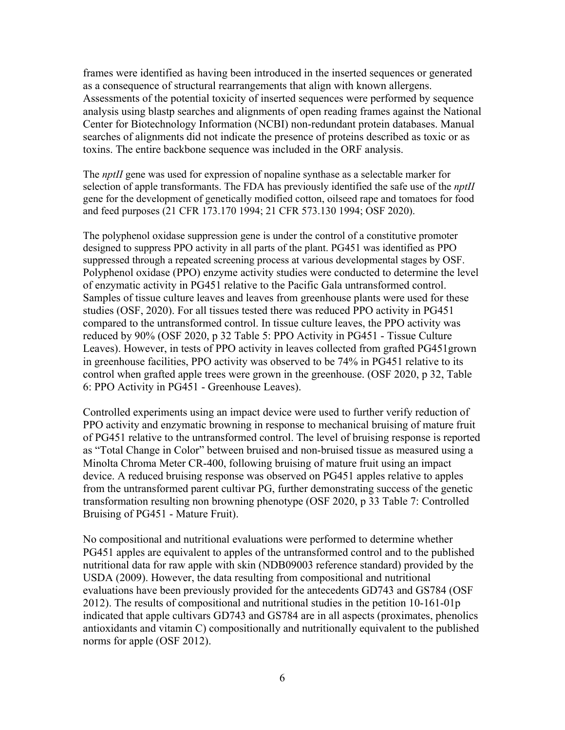frames were identified as having been introduced in the inserted sequences or generated as a consequence of structural rearrangements that align with known allergens. Assessments of the potential toxicity of inserted sequences were performed by sequence analysis using blastp searches and alignments of open reading frames against the National Center for Biotechnology Information (NCBI) non-redundant protein databases. Manual searches of alignments did not indicate the presence of proteins described as toxic or as toxins. The entire backbone sequence was included in the ORF analysis.

The *nptII* gene was used for expression of nopaline synthase as a selectable marker for selection of apple transformants. The FDA has previously identified the safe use of the *nptII* gene for the development of genetically modified cotton, oilseed rape and tomatoes for food and feed purposes [\(21 CFR 173.170 1994;](#page-17-12) [21 CFR 573.130 1994;](#page-17-13) [OSF 2020\)](#page-18-0).

The polyphenol oxidase suppression gene is under the control of a constitutive promoter designed to suppress PPO activity in all parts of the plant. PG451 was identified as PPO suppressed through a repeated screening process at various developmental stages by OSF. Polyphenol oxidase (PPO) enzyme activity studies were conducted to determine the level of enzymatic activity in PG451 relative to the Pacific Gala untransformed control. Samples of tissue culture leaves and leaves from greenhouse plants were used for these studies (OSF, 2020). For all tissues tested there was reduced PPO activity in PG451 compared to the untransformed control. In tissue culture leaves, the PPO activity was reduced by 90% [\(OSF 2020, p 32 Table 5: PPO Activity in PG451 -](#page-18-0) Tissue Culture [Leaves\)](#page-18-0). However, in tests of PPO activity in leaves collected from grafted PG451grown in greenhouse facilities, PPO activity was observed to be 74% in PG451 relative to its control when grafted apple trees were grown in the greenhouse. [\(OSF 2020, p 32, Table](#page-18-0)  [6: PPO Activity in PG451 -](#page-18-0) Greenhouse Leaves).

Controlled experiments using an impact device were used to further verify reduction of PPO activity and enzymatic browning in response to mechanical bruising of mature fruit of PG451 relative to the untransformed control. The level of bruising response is reported as "Total Change in Color" between bruised and non-bruised tissue as measured using a Minolta Chroma Meter CR-400, following bruising of mature fruit using an impact device. A reduced bruising response was observed on PG451 apples relative to apples from the untransformed parent cultivar PG, further demonstrating success of the genetic transformation resulting non browning phenotype [\(OSF 2020, p 33 Table 7: Controlled](#page-18-0)  [Bruising of PG451 -](#page-18-0) Mature Fruit).

No compositional and nutritional evaluations were performed to determine whether PG451 apples are equivalent to apples of the untransformed control and to the published nutritional data for raw apple with skin (NDB09003 reference standard) provided by the USDA (2009). However, the data resulting from compositional and nutritional evaluations have been previously provided for the antecedents GD743 and GS784 [\(OSF](#page-18-4)  [2012\)](#page-18-4). The results of compositional and nutritional studies in the petition 10-161-01p indicated that apple cultivars GD743 and GS784 are in all aspects (proximates, phenolics antioxidants and vitamin C) compositionally and nutritionally equivalent to the published norms for apple [\(OSF 2012\)](#page-18-4).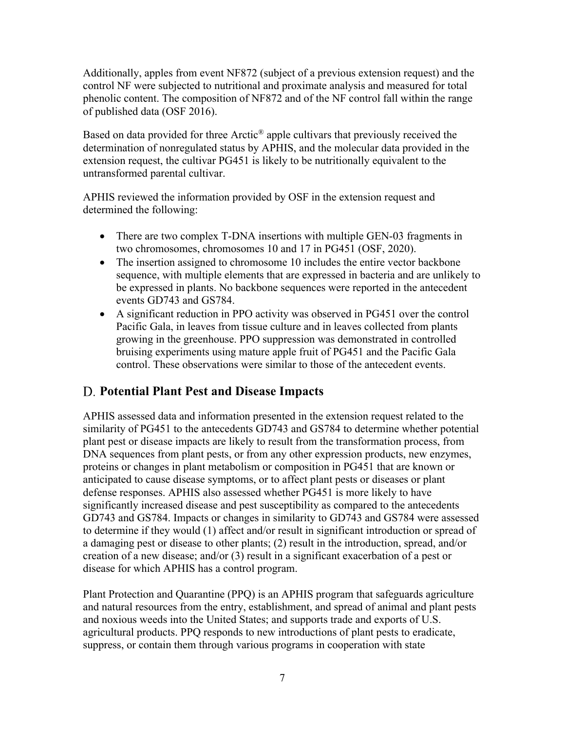Additionally, apples from event NF872 (subject of a previous extension request) and the control NF were subjected to nutritional and proximate analysis and measured for total phenolic content. The composition of NF872 and of the NF control fall within the range of published data [\(OSF 2016\)](#page-18-6).

Based on data provided for three Arctic<sup>®</sup> apple cultivars that previously received the determination of nonregulated status by APHIS, and the molecular data provided in the extension request, the cultivar PG451 is likely to be nutritionally equivalent to the untransformed parental cultivar.

APHIS reviewed the information provided by OSF in the extension request and determined the following:

- There are two complex T-DNA insertions with multiple GEN-03 fragments in two chromosomes, chromosomes 10 and 17 in PG451 (OSF, 2020).
- The insertion assigned to chromosome 10 includes the entire vector backbone sequence, with multiple elements that are expressed in bacteria and are unlikely to be expressed in plants. No backbone sequences were reported in the antecedent events GD743 and GS784.
- A significant reduction in PPO activity was observed in PG451 over the control Pacific Gala, in leaves from tissue culture and in leaves collected from plants growing in the greenhouse. PPO suppression was demonstrated in controlled bruising experiments using mature apple fruit of PG451 and the Pacific Gala control. These observations were similar to those of the antecedent events.

## <span id="page-10-0"></span>**Potential Plant Pest and Disease Impacts**

APHIS assessed data and information presented in the extension request related to the similarity of PG451 to the antecedents GD743 and GS784 to determine whether potential plant pest or disease impacts are likely to result from the transformation process, from DNA sequences from plant pests, or from any other expression products, new enzymes, proteins or changes in plant metabolism or composition in PG451 that are known or anticipated to cause disease symptoms, or to affect plant pests or diseases or plant defense responses. APHIS also assessed whether PG451 is more likely to have significantly increased disease and pest susceptibility as compared to the antecedents GD743 and GS784. Impacts or changes in similarity to GD743 and GS784 were assessed to determine if they would (1) affect and/or result in significant introduction or spread of a damaging pest or disease to other plants; (2) result in the introduction, spread, and/or creation of a new disease; and/or (3) result in a significant exacerbation of a pest or disease for which APHIS has a control program.

Plant Protection and Quarantine (PPQ) is an APHIS program that safeguards agriculture and natural resources from the entry, establishment, and spread of animal and plant pests and noxious weeds into the United States; and supports trade and exports of U.S. agricultural products. PPQ responds to new introductions of plant pests to eradicate, suppress, or contain them through various programs in cooperation with state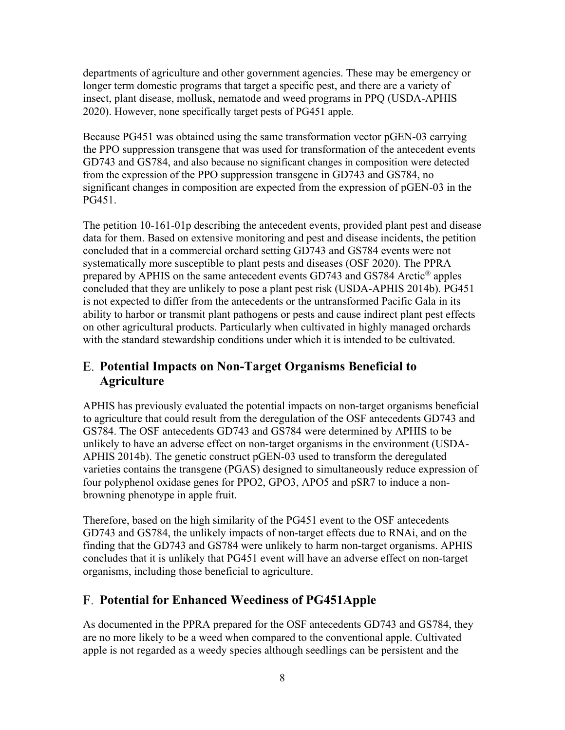departments of agriculture and other government agencies. These may be emergency or longer term domestic programs that target a specific pest, and there are a variety of insect, plant disease, mollusk, nematode and weed programs in PPQ [\(USDA-APHIS](#page-19-3)  [2020\)](#page-19-3). However, none specifically target pests of PG451 apple.

Because PG451 was obtained using the same transformation vector pGEN-03 carrying the PPO suppression transgene that was used for transformation of the antecedent events GD743 and GS784, and also because no significant changes in composition were detected from the expression of the PPO suppression transgene in GD743 and GS784, no significant changes in composition are expected from the expression of pGEN-03 in the PG451.

The petition 10-161-01p describing the antecedent events, provided plant pest and disease data for them. Based on extensive monitoring and pest and disease incidents, the petition concluded that in a commercial orchard setting GD743 and GS784 events were not systematically more susceptible to plant pests and diseases [\(OSF 2020\)](#page-18-0). The PPRA prepared by APHIS on the same antecedent events GD743 and GS784 Arctic® apples concluded that they are unlikely to pose a plant pest risk [\(USDA-APHIS 2014b\)](#page-18-2). PG451 is not expected to differ from the antecedents or the untransformed Pacific Gala in its ability to harbor or transmit plant pathogens or pests and cause indirect plant pest effects on other agricultural products. Particularly when cultivated in highly managed orchards with the standard stewardship conditions under which it is intended to be cultivated.

### <span id="page-11-0"></span>**Potential Impacts on Non-Target Organisms Beneficial to Agriculture**

APHIS has previously evaluated the potential impacts on non-target organisms beneficial to agriculture that could result from the deregulation of the OSF antecedents GD743 and GS784. The OSF antecedents GD743 and GS784 were determined by APHIS to be unlikely to have an adverse effect on non-target organisms in the environment [\(USDA-](#page-18-2)[APHIS 2014b\)](#page-18-2). The genetic construct pGEN-03 used to transform the deregulated varieties contains the transgene (PGAS) designed to simultaneously reduce expression of four polyphenol oxidase genes for PPO2, GPO3, APO5 and pSR7 to induce a nonbrowning phenotype in apple fruit.

Therefore, based on the high similarity of the PG451 event to the OSF antecedents GD743 and GS784, the unlikely impacts of non-target effects due to RNAi, and on the finding that the GD743 and GS784 were unlikely to harm non-target organisms. APHIS concludes that it is unlikely that PG451 event will have an adverse effect on non-target organisms, including those beneficial to agriculture.

## <span id="page-11-1"></span>**Potential for Enhanced Weediness of PG451Apple**

As documented in the PPRA prepared for the OSF antecedents GD743 and GS784, they are no more likely to be a weed when compared to the conventional apple. Cultivated apple is not regarded as a weedy species although seedlings can be persistent and the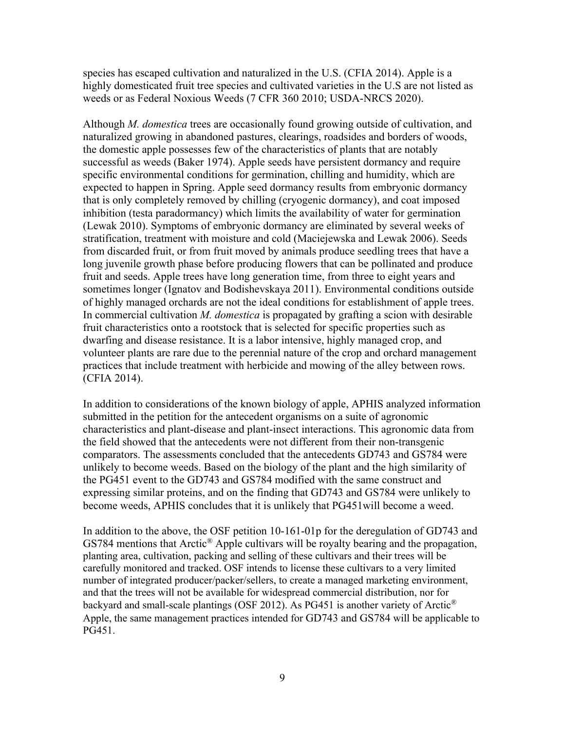species has escaped cultivation and naturalized in the U.S. [\(CFIA 2014\)](#page-17-14). Apple is a highly domesticated fruit tree species and cultivated varieties in the U.S are not listed as weeds or as Federal Noxious Weeds [\(7 CFR 360 2010;](#page-17-15) [USDA-NRCS 2020\)](#page-19-4).

Although *M. domestica* trees are occasionally found growing outside of cultivation, and naturalized growing in abandoned pastures, clearings, roadsides and borders of woods, the domestic apple possesses few of the characteristics of plants that are notably successful as weeds [\(Baker 1974\)](#page-17-16). Apple seeds have persistent dormancy and require specific environmental conditions for germination, chilling and humidity, which are expected to happen in Spring. Apple seed dormancy results from embryonic dormancy that is only completely removed by chilling (cryogenic dormancy), and coat imposed inhibition (testa paradormancy) which limits the availability of water for germination [\(Lewak 2010\)](#page-18-9). Symptoms of embryonic dormancy are eliminated by several weeks of stratification, treatment with moisture and cold [\(Maciejewska and Lewak 2006\)](#page-18-10). Seeds from discarded fruit, or from fruit moved by animals produce seedling trees that have a long juvenile growth phase before producing flowers that can be pollinated and produce fruit and seeds. Apple trees have long generation time, from three to eight years and sometimes longer [\(Ignatov and Bodishevskaya 2011\)](#page-17-17). Environmental conditions outside of highly managed orchards are not the ideal conditions for establishment of apple trees. In commercial cultivation *M. domestica* is propagated by grafting a scion with desirable fruit characteristics onto a rootstock that is selected for specific properties such as dwarfing and disease resistance. It is a labor intensive, highly managed crop, and volunteer plants are rare due to the perennial nature of the crop and orchard management practices that include treatment with herbicide and mowing of the alley between rows. [\(CFIA 2014\)](#page-17-14).

In addition to considerations of the known biology of apple, APHIS analyzed information submitted in the petition for the antecedent organisms on a suite of agronomic characteristics and plant-disease and plant-insect interactions. This agronomic data from the field showed that the antecedents were not different from their non-transgenic comparators. The assessments concluded that the antecedents GD743 and GS784 were unlikely to become weeds. Based on the biology of the plant and the high similarity of the PG451 event to the GD743 and GS784 modified with the same construct and expressing similar proteins, and on the finding that GD743 and GS784 were unlikely to become weeds, APHIS concludes that it is unlikely that PG451will become a weed.

In addition to the above, the OSF petition 10-161-01p for the deregulation of GD743 and GS784 mentions that Arctic® Apple cultivars will be royalty bearing and the propagation, planting area, cultivation, packing and selling of these cultivars and their trees will be carefully monitored and tracked. OSF intends to license these cultivars to a very limited number of integrated producer/packer/sellers, to create a managed marketing environment, and that the trees will not be available for widespread commercial distribution, nor for backyard and small-scale plantings [\(OSF 2012\)](#page-18-4). As PG451 is another variety of Arctic<sup>®</sup> Apple, the same management practices intended for GD743 and GS784 will be applicable to PG451.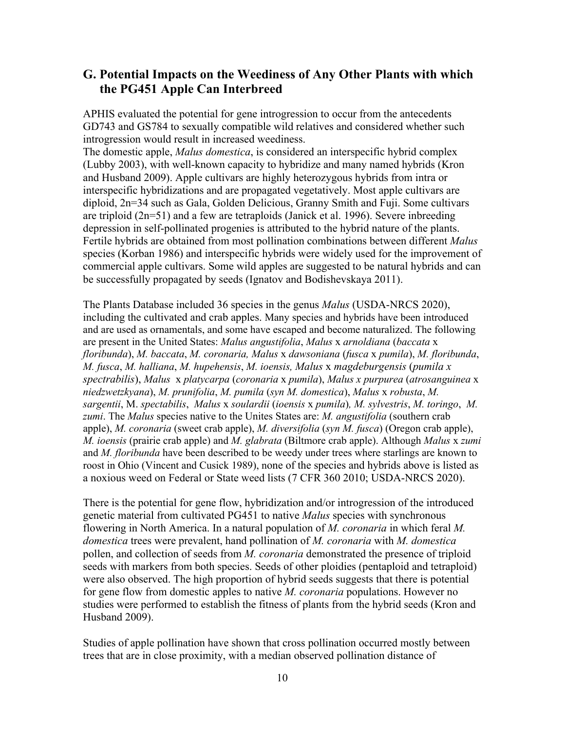#### <span id="page-13-0"></span>**G. Potential Impacts on the Weediness of Any Other Plants with which the PG451 Apple Can Interbreed**

APHIS evaluated the potential for gene introgression to occur from the antecedents GD743 and GS784 to sexually compatible wild relatives and considered whether such introgression would result in increased weediness.

The domestic apple, *Malus domestica*, is considered an interspecific hybrid complex [\(Lubby 2003\)](#page-18-1), with well-known capacity to hybridize and many named hybrids [\(Kron](#page-18-11)  [and Husband 2009\)](#page-18-11). Apple cultivars are highly heterozygous hybrids from intra or interspecific hybridizations and are propagated vegetatively. Most apple cultivars are diploid, 2n=34 such as Gala, Golden Delicious, Granny Smith and Fuji. Some cultivars are triploid  $(2n=51)$  and a few are tetraploids [\(Janick et al. 1996\)](#page-18-12). Severe inbreeding depression in self-pollinated progenies is attributed to the hybrid nature of the plants. Fertile hybrids are obtained from most pollination combinations between different *Malus*  species [\(Korban 1986\)](#page-18-13) and interspecific hybrids were widely used for the improvement of commercial apple cultivars. Some wild apples are suggested to be natural hybrids and can be successfully propagated by seeds [\(Ignatov and Bodishevskaya 2011\)](#page-17-17).

The Plants Database included 36 species in the genus *Malus* [\(USDA-NRCS 2020\)](#page-19-4), including the cultivated and crab apples. Many species and hybrids have been introduced and are used as ornamentals, and some have escaped and become naturalized. The following are present in the United States: *Malus angustifolia*, *Malus* x *arnoldiana* (*baccata* x *floribunda*), *M. baccata*, *M. coronaria, Malus* x *dawsoniana* (*fusca* x *pumila*), *M. floribunda*, *M. fusca*, *M. halliana*, *M. hupehensis*, *M. ioensis, Malus* x *magdeburgensis* (*pumila x spectrabilis*), *Malus* x *platycarpa* (*coronaria* x *pumila*), *Malus x purpurea* (*atrosanguinea* x *niedzwetzkyana*), *M. prunifolia*, *M. pumila* (*syn M. domestica*), *Malus* x *robusta*, *M. sargentii*, M. *spectabilis*, *Malus* x *soulardii* (*ioensis* x *pumila*)*, M. sylvestris*, *M. toringo*, *M. zumi*. The *Malus* species native to the Unites States are: *M. angustifolia* (southern crab apple), *M. coronaria* (sweet crab apple), *M. diversifolia* (*syn M. fusca*) (Oregon crab apple), *M. ioensis* (prairie crab apple) and *M. glabrata* (Biltmore crab apple). Although *Malus* x *zumi* and *M. floribunda* have been described to be weedy under trees where starlings are known to roost in Ohio [\(Vincent and Cusick 1989\)](#page-19-5), none of the species and hybrids above is listed as a noxious weed on Federal or State weed lists [\(7 CFR 360 2010;](#page-17-15) [USDA-NRCS 2020\)](#page-19-4).

There is the potential for gene flow, hybridization and/or introgression of the introduced genetic material from cultivated PG451 to native *Malus* species with synchronous flowering in North America. In a natural population of *M. coronaria* in which feral *M. domestica* trees were prevalent, hand pollination of *M. coronaria* with *M. domestica*  pollen, and collection of seeds from *M. coronaria* demonstrated the presence of triploid seeds with markers from both species. Seeds of other ploidies (pentaploid and tetraploid) were also observed. The high proportion of hybrid seeds suggests that there is potential for gene flow from domestic apples to native *M. coronaria* populations. However no studies were performed to establish the fitness of plants from the hybrid seeds [\(Kron and](#page-18-11)  [Husband 2009\)](#page-18-11).

Studies of apple pollination have shown that cross pollination occurred mostly between trees that are in close proximity, with a median observed pollination distance of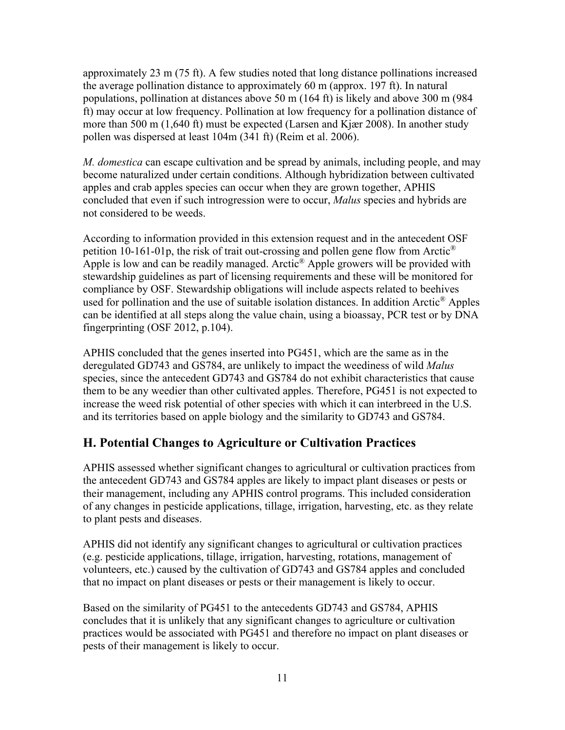approximately 23 m (75 ft). A few studies noted that long distance pollinations increased the average pollination distance to approximately 60 m (approx. 197 ft). In natural populations, pollination at distances above 50 m (164 ft) is likely and above 300 m (984 ft) may occur at low frequency. Pollination at low frequency for a pollination distance of more than 500 m (1,640 ft) must be expected [\(Larsen and Kjær 2008\)](#page-18-14). In another study pollen was dispersed at least 104m (341 ft) [\(Reim et al. 2006\)](#page-18-15).

*M. domestica* can escape cultivation and be spread by animals, including people, and may become naturalized under certain conditions. Although hybridization between cultivated apples and crab apples species can occur when they are grown together, APHIS concluded that even if such introgression were to occur, *Malus* species and hybrids are not considered to be weeds.

According to information provided in this extension request and in the antecedent OSF petition 10-161-01p, the risk of trait out-crossing and pollen gene flow from Arctic<sup>®</sup> Apple is low and can be readily managed. Arctic<sup>®</sup> Apple growers will be provided with stewardship guidelines as part of licensing requirements and these will be monitored for compliance by OSF. Stewardship obligations will include aspects related to beehives used for pollination and the use of suitable isolation distances. In addition Arctic<sup>®</sup> Apples can be identified at all steps along the value chain, using a bioassay, PCR test or by DNA fingerprinting [\(OSF 2012, p.104\)](#page-18-4).

APHIS concluded that the genes inserted into PG451, which are the same as in the deregulated GD743 and GS784, are unlikely to impact the weediness of wild *Malus* species, since the antecedent GD743 and GS784 do not exhibit characteristics that cause them to be any weedier than other cultivated apples. Therefore, PG451 is not expected to increase the weed risk potential of other species with which it can interbreed in the U.S. and its territories based on apple biology and the similarity to GD743 and GS784.

## <span id="page-14-0"></span>**H. Potential Changes to Agriculture or Cultivation Practices**

APHIS assessed whether significant changes to agricultural or cultivation practices from the antecedent GD743 and GS784 apples are likely to impact plant diseases or pests or their management, including any APHIS control programs. This included consideration of any changes in pesticide applications, tillage, irrigation, harvesting, etc. as they relate to plant pests and diseases.

APHIS did not identify any significant changes to agricultural or cultivation practices (e.g. pesticide applications, tillage, irrigation, harvesting, rotations, management of volunteers, etc.) caused by the cultivation of GD743 and GS784 apples and concluded that no impact on plant diseases or pests or their management is likely to occur.

Based on the similarity of PG451 to the antecedents GD743 and GS784, APHIS concludes that it is unlikely that any significant changes to agriculture or cultivation practices would be associated with PG451 and therefore no impact on plant diseases or pests of their management is likely to occur.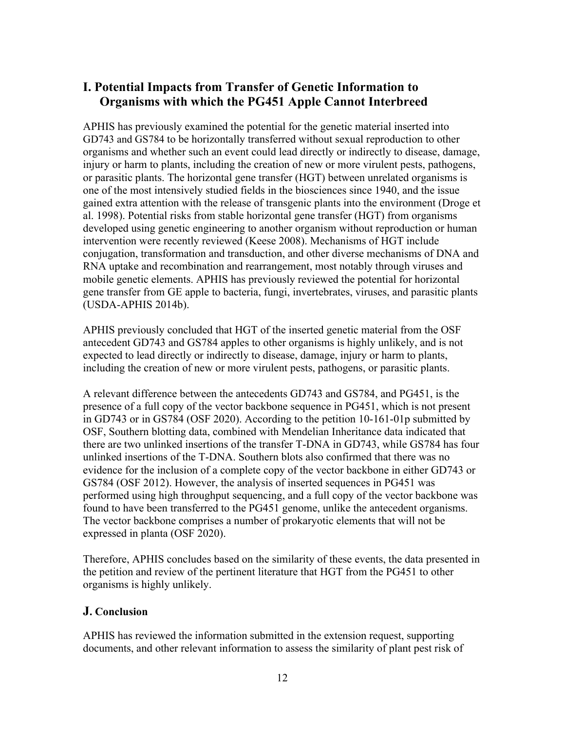#### <span id="page-15-0"></span>**I. Potential Impacts from Transfer of Genetic Information to Organisms with which the PG451 Apple Cannot Interbreed**

APHIS has previously examined the potential for the genetic material inserted into GD743 and GS784 to be horizontally transferred without sexual reproduction to other organisms and whether such an event could lead directly or indirectly to disease, damage, injury or harm to plants, including the creation of new or more virulent pests, pathogens, or parasitic plants. The horizontal gene transfer (HGT) between unrelated organisms is one of the most intensively studied fields in the biosciences since 1940, and the issue gained extra attention with the release of transgenic plants into the environment [\(Droge et](#page-17-18)  [al. 1998\)](#page-17-18). Potential risks from stable horizontal gene transfer (HGT) from organisms developed using genetic engineering to another organism without reproduction or human intervention were recently reviewed [\(Keese 2008\)](#page-18-16). Mechanisms of HGT include conjugation, transformation and transduction, and other diverse mechanisms of DNA and RNA uptake and recombination and rearrangement, most notably through viruses and mobile genetic elements. APHIS has previously reviewed the potential for horizontal gene transfer from GE apple to bacteria, fungi, invertebrates, viruses, and parasitic plants [\(USDA-APHIS 2014b\)](#page-18-2).

APHIS previously concluded that HGT of the inserted genetic material from the OSF antecedent GD743 and GS784 apples to other organisms is highly unlikely, and is not expected to lead directly or indirectly to disease, damage, injury or harm to plants, including the creation of new or more virulent pests, pathogens, or parasitic plants.

A relevant difference between the antecedents GD743 and GS784, and PG451, is the presence of a full copy of the vector backbone sequence in PG451, which is not present in GD743 or in GS784 [\(OSF 2020\)](#page-18-0). According to the petition 10-161-01p submitted by OSF, Southern blotting data, combined with Mendelian Inheritance data indicated that there are two unlinked insertions of the transfer T-DNA in GD743, while GS784 has four unlinked insertions of the T-DNA. Southern blots also confirmed that there was no evidence for the inclusion of a complete copy of the vector backbone in either GD743 or GS784 [\(OSF 2012\)](#page-18-4). However, the analysis of inserted sequences in PG451 was performed using high throughput sequencing, and a full copy of the vector backbone was found to have been transferred to the PG451 genome, unlike the antecedent organisms. The vector backbone comprises a number of prokaryotic elements that will not be expressed in planta [\(OSF 2020\)](#page-18-0).

Therefore, APHIS concludes based on the similarity of these events, the data presented in the petition and review of the pertinent literature that HGT from the PG451 to other organisms is highly unlikely.

#### <span id="page-15-1"></span>**J. Conclusion**

APHIS has reviewed the information submitted in the extension request, supporting documents, and other relevant information to assess the similarity of plant pest risk of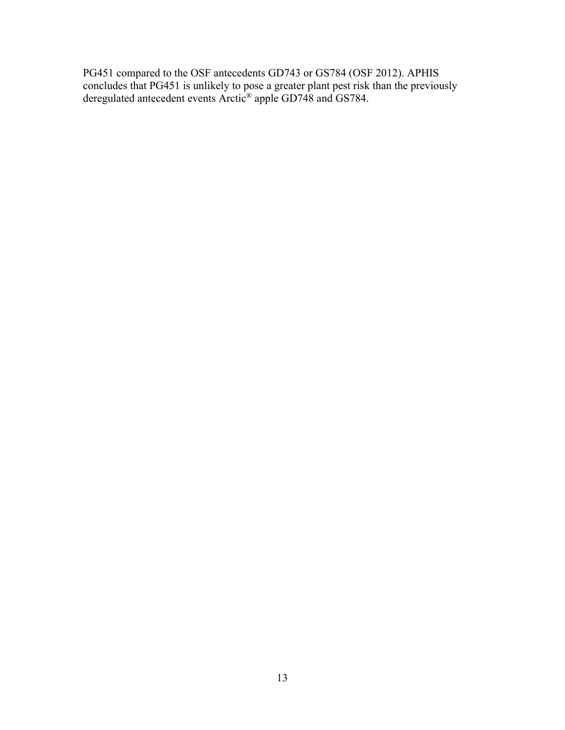PG451 compared to the OSF antecedents GD743 or GS784 [\(OSF 2012\)](#page-18-4). APHIS concludes that PG451 is unlikely to pose a greater plant pest risk than the previously deregulated antecedent events Arctic® apple GD748 and GS784.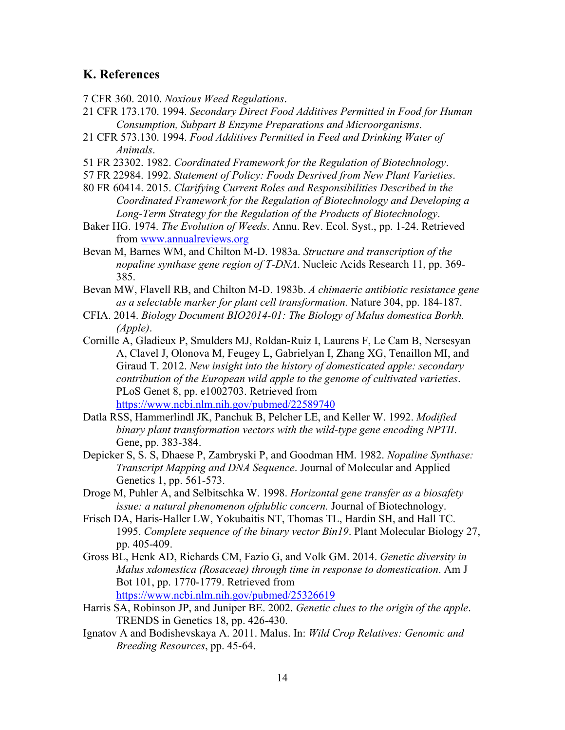#### <span id="page-17-0"></span>**K. References**

<span id="page-17-15"></span>7 CFR 360. 2010. *Noxious Weed Regulations*.

- <span id="page-17-12"></span>21 CFR 173.170. 1994. *Secondary Direct Food Additives Permitted in Food for Human Consumption, Subpart B Enzyme Preparations and Microorganisms*.
- <span id="page-17-13"></span>21 CFR 573.130. 1994. *Food Additives Permitted in Feed and Drinking Water of Animals*.
- <span id="page-17-1"></span>51 FR 23302. 1982. *Coordinated Framework for the Regulation of Biotechnology*.
- <span id="page-17-2"></span>57 FR 22984. 1992. *Statement of Policy: Foods Desrived from New Plant Varieties*.
- <span id="page-17-3"></span>80 FR 60414. 2015. *Clarifying Current Roles and Responsibilities Described in the Coordinated Framework for the Regulation of Biotechnology and Developing a Long-Term Strategy for the Regulation of the Products of Biotechnology*.
- <span id="page-17-16"></span>Baker HG. 1974. *The Evolution of Weeds*. Annu. Rev. Ecol. Syst., pp. 1-24. Retrieved from [www.annualreviews.org](file://Aapmdrd3mrfs11/info/BRS%20-%20Biotechnology%20Regulatory%20Services/Document%20Warehouse/Petitions/20-213-01ext%20WITHDRAWN/PPRSA/Draft%20PPRSA/www.annualreviews.org)
- <span id="page-17-9"></span>Bevan M, Barnes WM, and Chilton M-D. 1983a. *Structure and transcription of the nopaline synthase gene region of T-DNA*. Nucleic Acids Research 11, pp. 369- 385.
- <span id="page-17-10"></span>Bevan MW, Flavell RB, and Chilton M-D. 1983b. *A chimaeric antibiotic resistance gene as a selectable marker for plant cell transformation.* Nature 304, pp. 184-187.
- <span id="page-17-14"></span>CFIA. 2014. *Biology Document BIO2014-01: The Biology of Malus domestica Borkh. (Apple)*.
- <span id="page-17-5"></span>Cornille A, Gladieux P, Smulders MJ, Roldan-Ruiz I, Laurens F, Le Cam B, Nersesyan A, Clavel J, Olonova M, Feugey L, Gabrielyan I, Zhang XG, Tenaillon MI, and Giraud T. 2012. *New insight into the history of domesticated apple: secondary contribution of the European wild apple to the genome of cultivated varieties*. PLoS Genet 8, pp. e1002703. Retrieved from <https://www.ncbi.nlm.nih.gov/pubmed/22589740>
- <span id="page-17-8"></span>Datla RSS, Hammerlindl JK, Panchuk B, Pelcher LE, and Keller W. 1992. *Modified binary plant transformation vectors with the wild-type gene encoding NPTII*. Gene, pp. 383-384.
- <span id="page-17-7"></span>Depicker S, S. S, Dhaese P, Zambryski P, and Goodman HM. 1982. *Nopaline Synthase: Transcript Mapping and DNA Sequence*. Journal of Molecular and Applied Genetics 1, pp. 561-573.
- <span id="page-17-18"></span>Droge M, Puhler A, and Selbitschka W. 1998. *Horizontal gene transfer as a biosafety issue: a natural phenomenon ofplublic concern.* Journal of Biotechnology.
- <span id="page-17-11"></span>Frisch DA, Haris-Haller LW, Yokubaitis NT, Thomas TL, Hardin SH, and Hall TC. 1995. *Complete sequence of the binary vector Bin19*. Plant Molecular Biology 27, pp. 405-409.
- <span id="page-17-6"></span>Gross BL, Henk AD, Richards CM, Fazio G, and Volk GM. 2014. *Genetic diversity in Malus xdomestica (Rosaceae) through time in response to domestication*. Am J Bot 101, pp. 1770-1779. Retrieved from <https://www.ncbi.nlm.nih.gov/pubmed/25326619>
- <span id="page-17-4"></span>Harris SA, Robinson JP, and Juniper BE. 2002. *Genetic clues to the origin of the apple*. TRENDS in Genetics 18, pp. 426-430.
- <span id="page-17-17"></span>Ignatov A and Bodishevskaya A. 2011. Malus. In: *Wild Crop Relatives: Genomic and Breeding Resources*, pp. 45-64.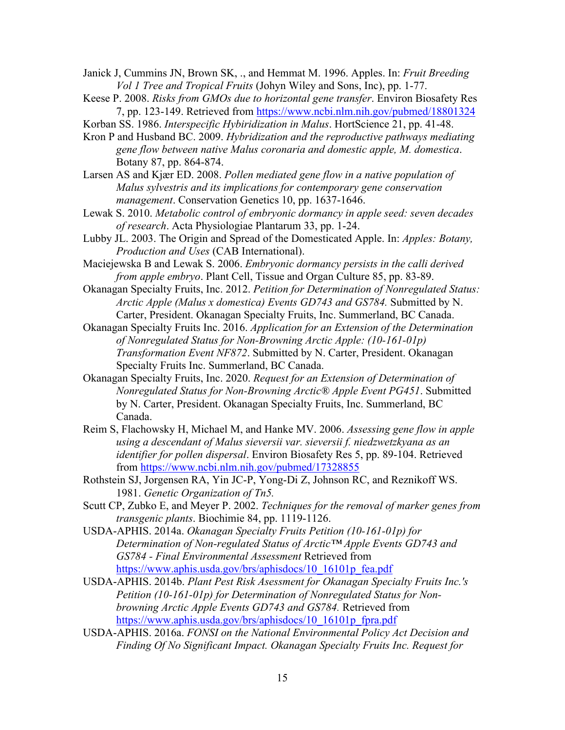<span id="page-18-12"></span>Janick J, Cummins JN, Brown SK, ., and Hemmat M. 1996. Apples. In: *Fruit Breeding Vol 1 Tree and Tropical Fruits* (Johyn Wiley and Sons, Inc), pp. 1-77.

- <span id="page-18-16"></span>Keese P. 2008. *Risks from GMOs due to horizontal gene transfer*. Environ Biosafety Res 7, pp. 123-149. Retrieved from<https://www.ncbi.nlm.nih.gov/pubmed/18801324>
- <span id="page-18-13"></span>Korban SS. 1986. *Interspecific Hybiridization in Malus*. HortScience 21, pp. 41-48.
- <span id="page-18-11"></span>Kron P and Husband BC. 2009. *Hybridization and the reproductive pathways mediating gene flow between native Malus coronaria and domestic apple, M. domestica*. Botany 87, pp. 864-874.
- <span id="page-18-14"></span>Larsen AS and Kjær ED. 2008. *Pollen mediated gene flow in a native population of Malus sylvestris and its implications for contemporary gene conservation management*. Conservation Genetics 10, pp. 1637-1646.
- <span id="page-18-9"></span>Lewak S. 2010. *Metabolic control of embryonic dormancy in apple seed: seven decades of research*. Acta Physiologiae Plantarum 33, pp. 1-24.
- <span id="page-18-1"></span>Lubby JL. 2003. The Origin and Spread of the Domesticated Apple. In: *Apples: Botany, Production and Uses* (CAB International).
- <span id="page-18-10"></span>Maciejewska B and Lewak S. 2006. *Embryonic dormancy persists in the calli derived from apple embryo*. Plant Cell, Tissue and Organ Culture 85, pp. 83-89.
- <span id="page-18-4"></span>Okanagan Specialty Fruits, Inc. 2012. *Petition for Determination of Nonregulated Status: Arctic Apple (Malus x domestica) Events GD743 and GS784.* Submitted by N. Carter, President. Okanagan Specialty Fruits, Inc. Summerland, BC Canada.
- <span id="page-18-6"></span>Okanagan Specialty Fruits Inc. 2016. *Application for an Extension of the Determination of Nonregulated Status for Non-Browning Arctic Apple: (10-161-01p) Transformation Event NF872*. Submitted by N. Carter, President. Okanagan Specialty Fruits Inc. Summerland, BC Canada.
- <span id="page-18-0"></span>Okanagan Specialty Fruits, Inc. 2020. *Request for an Extension of Determination of Nonregulated Status for Non-Browning Arctic® Apple Event PG451*. Submitted by N. Carter, President. Okanagan Specialty Fruits, Inc. Summerland, BC Canada.
- <span id="page-18-15"></span>Reim S, Flachowsky H, Michael M, and Hanke MV. 2006. *Assessing gene flow in apple using a descendant of Malus sieversii var. sieversii f. niedzwetzkyana as an identifier for pollen dispersal*. Environ Biosafety Res 5, pp. 89-104. Retrieved from<https://www.ncbi.nlm.nih.gov/pubmed/17328855>
- <span id="page-18-5"></span>Rothstein SJ, Jorgensen RA, Yin JC-P, Yong-Di Z, Johnson RC, and Reznikoff WS. 1981. *Genetic Organization of Tn5.*
- <span id="page-18-8"></span>Scutt CP, Zubko E, and Meyer P. 2002. *Techniques for the removal of marker genes from transgenic plants*. Biochimie 84, pp. 1119-1126.
- <span id="page-18-3"></span>USDA-APHIS. 2014a. *Okanagan Specialty Fruits Petition (10-161-01p) for Determination of Non-regulated Status of Arctic™ Apple Events GD743 and GS784 - Final Environmental Assessment* Retrieved from [https://www.aphis.usda.gov/brs/aphisdocs/10\\_16101p\\_fea.pdf](https://www.aphis.usda.gov/brs/aphisdocs/10_16101p_fea.pdf)
- <span id="page-18-2"></span>USDA-APHIS. 2014b. *Plant Pest Risk Asessment for Okanagan Specialty Fruits Inc.'s Petition (10-161-01p) for Determination of Nonregulated Status for Nonbrowning Arctic Apple Events GD743 and GS784.* Retrieved from [https://www.aphis.usda.gov/brs/aphisdocs/10\\_16101p\\_fpra.pdf](https://www.aphis.usda.gov/brs/aphisdocs/10_16101p_fpra.pdf)
- <span id="page-18-7"></span>USDA-APHIS. 2016a. *FONSI on the National Environmental Policy Act Decision and Finding Of No Significant Impact. Okanagan Specialty Fruits Inc. Request for*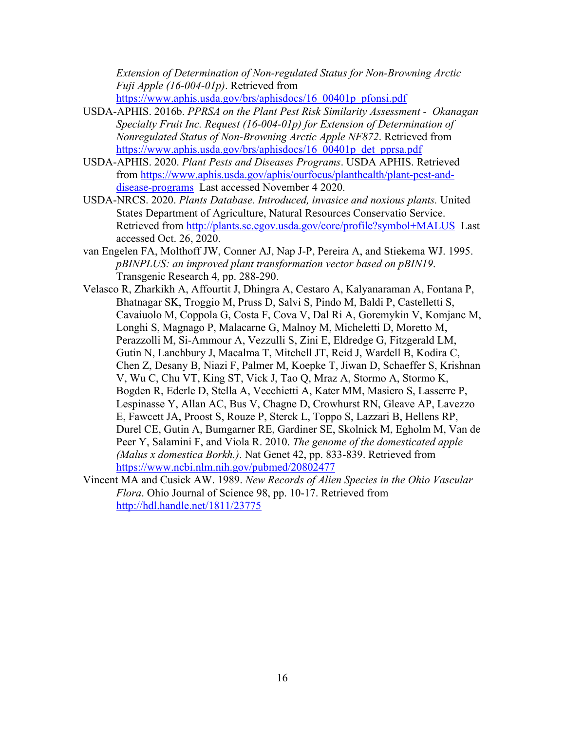*Extension of Determination of Non-regulated Status for Non-Browning Arctic Fuji Apple (16-004-01p)*. Retrieved from

https://www.aphis.usda.gov/brs/aphisdocs/16\_00401p\_pfonsi.pdf

- <span id="page-19-1"></span>USDA-APHIS. 2016b. *PPRSA on the Plant Pest Risk Similarity Assessment - Okanagan Specialty Fruit Inc. Request (16-004-01p) for Extension of Determination of Nonregulated Status of Non-Browning Arctic Apple NF872*. Retrieved from https://www.aphis.usda.gov/brs/aphisdocs/16\_00401p\_det\_pprsa.pdf
- <span id="page-19-3"></span>USDA-APHIS. 2020. *Plant Pests and Diseases Programs*. USDA APHIS. Retrieved from [https://www.aphis.usda.gov/aphis/ourfocus/planthealth/plant-pest-and](https://www.aphis.usda.gov/aphis/ourfocus/planthealth/plant-pest-and-disease-programs)[disease-programs](https://www.aphis.usda.gov/aphis/ourfocus/planthealth/plant-pest-and-disease-programs) Last accessed November 4 2020.
- <span id="page-19-4"></span>USDA-NRCS. 2020. *Plants Database. Introduced, invasice and noxious plants.* United States Department of Agriculture, Natural Resources Conservatio Service. Retrieved from<http://plants.sc.egov.usda.gov/core/profile?symbol+MALUS>Last accessed Oct. 26, 2020.
- <span id="page-19-2"></span>van Engelen FA, Molthoff JW, Conner AJ, Nap J-P, Pereira A, and Stiekema WJ. 1995. *pBINPLUS: an improved plant transformation vector based on pBIN19*. Transgenic Research 4, pp. 288-290.
- <span id="page-19-0"></span>Velasco R, Zharkikh A, Affourtit J, Dhingra A, Cestaro A, Kalyanaraman A, Fontana P, Bhatnagar SK, Troggio M, Pruss D, Salvi S, Pindo M, Baldi P, Castelletti S, Cavaiuolo M, Coppola G, Costa F, Cova V, Dal Ri A, Goremykin V, Komjanc M, Longhi S, Magnago P, Malacarne G, Malnoy M, Micheletti D, Moretto M, Perazzolli M, Si-Ammour A, Vezzulli S, Zini E, Eldredge G, Fitzgerald LM, Gutin N, Lanchbury J, Macalma T, Mitchell JT, Reid J, Wardell B, Kodira C, Chen Z, Desany B, Niazi F, Palmer M, Koepke T, Jiwan D, Schaeffer S, Krishnan V, Wu C, Chu VT, King ST, Vick J, Tao Q, Mraz A, Stormo A, Stormo K, Bogden R, Ederle D, Stella A, Vecchietti A, Kater MM, Masiero S, Lasserre P, Lespinasse Y, Allan AC, Bus V, Chagne D, Crowhurst RN, Gleave AP, Lavezzo E, Fawcett JA, Proost S, Rouze P, Sterck L, Toppo S, Lazzari B, Hellens RP, Durel CE, Gutin A, Bumgarner RE, Gardiner SE, Skolnick M, Egholm M, Van de Peer Y, Salamini F, and Viola R. 2010. *The genome of the domesticated apple (Malus x domestica Borkh.)*. Nat Genet 42, pp. 833-839. Retrieved from <https://www.ncbi.nlm.nih.gov/pubmed/20802477>
- <span id="page-19-5"></span>Vincent MA and Cusick AW. 1989. *New Records of Alien Species in the Ohio Vascular Flora*. Ohio Journal of Science 98, pp. 10-17. Retrieved from <http://hdl.handle.net/1811/23775>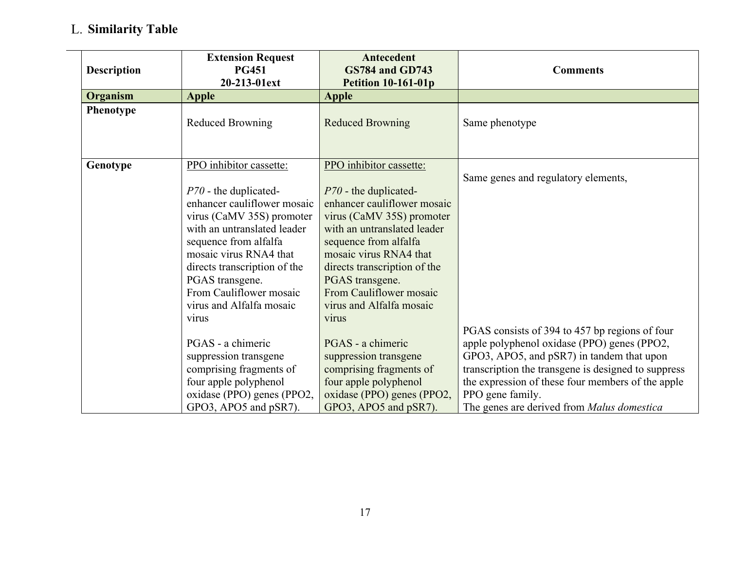## **Similarity Table**

 $\overline{\phantom{0}}$ 

<span id="page-20-0"></span>

| <b>Description</b> | <b>Extension Request</b><br><b>PG451</b><br>20-213-01ext | Antecedent<br><b>GS784 and GD743</b><br><b>Petition 10-161-01p</b> | <b>Comments</b>                                     |
|--------------------|----------------------------------------------------------|--------------------------------------------------------------------|-----------------------------------------------------|
| Organism           | <b>Apple</b>                                             | <b>Apple</b>                                                       |                                                     |
| Phenotype          | <b>Reduced Browning</b>                                  | <b>Reduced Browning</b>                                            | Same phenotype                                      |
| Genotype           | PPO inhibitor cassette:                                  | PPO inhibitor cassette:                                            |                                                     |
|                    |                                                          |                                                                    | Same genes and regulatory elements,                 |
|                    | $P70$ - the duplicated-                                  | $P70$ - the duplicated-                                            |                                                     |
|                    | enhancer cauliflower mosaic                              | enhancer cauliflower mosaic                                        |                                                     |
|                    | virus (CaMV 35S) promoter                                | virus (CaMV 35S) promoter                                          |                                                     |
|                    | with an untranslated leader                              | with an untranslated leader                                        |                                                     |
|                    | sequence from alfalfa                                    | sequence from alfalfa                                              |                                                     |
|                    | mosaic virus RNA4 that                                   | mosaic virus RNA4 that                                             |                                                     |
|                    | directs transcription of the                             | directs transcription of the                                       |                                                     |
|                    | PGAS transgene.                                          | PGAS transgene.                                                    |                                                     |
|                    | From Cauliflower mosaic                                  | From Cauliflower mosaic                                            |                                                     |
|                    | virus and Alfalfa mosaic                                 | virus and Alfalfa mosaic                                           |                                                     |
|                    | virus                                                    | virus                                                              |                                                     |
|                    |                                                          |                                                                    | PGAS consists of 394 to 457 bp regions of four      |
|                    | PGAS - a chimeric                                        | PGAS - a chimeric                                                  | apple polyphenol oxidase (PPO) genes (PPO2,         |
|                    | suppression transgene                                    | suppression transgene                                              | GPO3, APO5, and pSR7) in tandem that upon           |
|                    | comprising fragments of                                  | comprising fragments of                                            | transcription the transgene is designed to suppress |
|                    | four apple polyphenol                                    | four apple polyphenol                                              | the expression of these four members of the apple   |
|                    | oxidase (PPO) genes (PPO2,                               | oxidase (PPO) genes (PPO2,                                         | PPO gene family.                                    |
|                    | GPO3, APO5 and pSR7).                                    | GPO3, APO5 and pSR7).                                              | The genes are derived from Malus domestica          |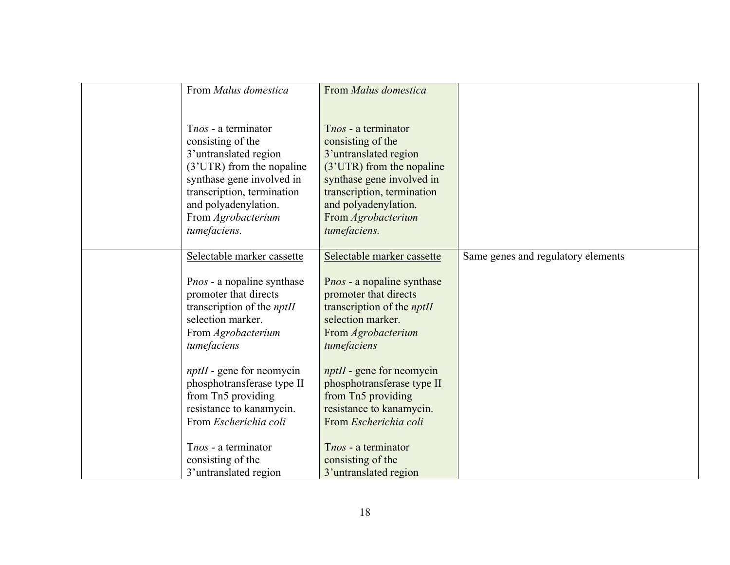| From Malus domestica                                                                                                                                                                                                    | From Malus domestica                                                                                                                                                                                                    |                                    |
|-------------------------------------------------------------------------------------------------------------------------------------------------------------------------------------------------------------------------|-------------------------------------------------------------------------------------------------------------------------------------------------------------------------------------------------------------------------|------------------------------------|
|                                                                                                                                                                                                                         |                                                                                                                                                                                                                         |                                    |
| Tnos - a terminator<br>consisting of the<br>3'untranslated region<br>(3'UTR) from the nopaline<br>synthase gene involved in<br>transcription, termination<br>and polyadenylation.<br>From Agrobacterium<br>tumefaciens. | Tnos - a terminator<br>consisting of the<br>3'untranslated region<br>(3'UTR) from the nopaline<br>synthase gene involved in<br>transcription, termination<br>and polyadenylation.<br>From Agrobacterium<br>tumefaciens. |                                    |
| Selectable marker cassette                                                                                                                                                                                              | Selectable marker cassette                                                                                                                                                                                              | Same genes and regulatory elements |
| Pnos - a nopaline synthase<br>promoter that directs<br>transcription of the <i>nptII</i><br>selection marker.<br>From Agrobacterium<br>tumefaciens                                                                      | Pnos - a nopaline synthase<br>promoter that directs<br>transcription of the <i>nptII</i><br>selection marker.<br>From Agrobacterium<br>tumefaciens                                                                      |                                    |
| $nptH$ - gene for neomycin<br>phosphotransferase type II<br>from Tn5 providing<br>resistance to kanamycin.<br>From Escherichia coli                                                                                     | $nptH$ - gene for neomycin<br>phosphotransferase type II<br>from Tn5 providing<br>resistance to kanamycin.<br>From Escherichia coli                                                                                     |                                    |
| Tnos - a terminator<br>consisting of the<br>3' untranslated region                                                                                                                                                      | Tnos - a terminator<br>consisting of the<br>3'untranslated region                                                                                                                                                       |                                    |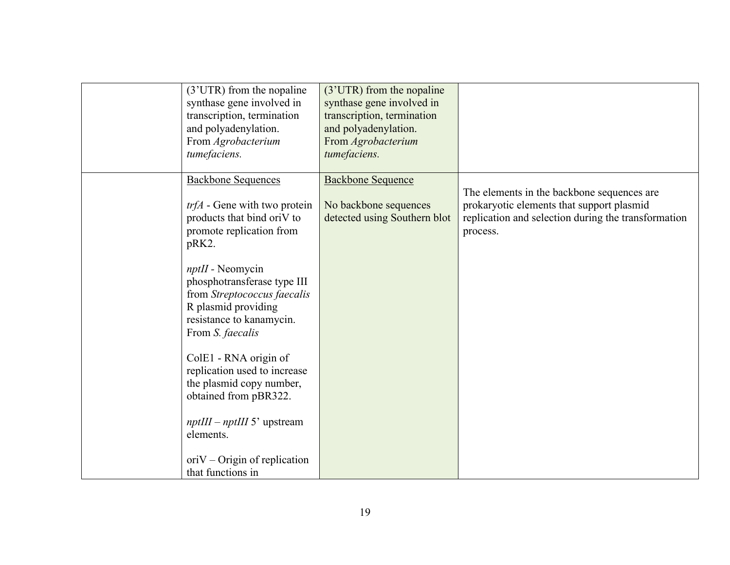| (3'UTR) from the nopaline                         | (3'UTR) from the nopaline    |                                                     |
|---------------------------------------------------|------------------------------|-----------------------------------------------------|
| synthase gene involved in                         | synthase gene involved in    |                                                     |
| transcription, termination                        | transcription, termination   |                                                     |
| and polyadenylation.                              | and polyadenylation.         |                                                     |
| From Agrobacterium                                | From Agrobacterium           |                                                     |
| tumefaciens.                                      | tumefaciens.                 |                                                     |
|                                                   |                              |                                                     |
| <b>Backbone Sequences</b>                         | <b>Backbone Sequence</b>     |                                                     |
|                                                   |                              | The elements in the backbone sequences are          |
| $trfA$ - Gene with two protein                    | No backbone sequences        | prokaryotic elements that support plasmid           |
| products that bind oriV to                        | detected using Southern blot | replication and selection during the transformation |
| promote replication from                          |                              | process.                                            |
| pRK2.                                             |                              |                                                     |
|                                                   |                              |                                                     |
| $npt$ I - Neomycin<br>phosphotransferase type III |                              |                                                     |
| from Streptococcus faecalis                       |                              |                                                     |
| R plasmid providing                               |                              |                                                     |
| resistance to kanamycin.                          |                              |                                                     |
| From S. faecalis                                  |                              |                                                     |
|                                                   |                              |                                                     |
| ColE1 - RNA origin of                             |                              |                                                     |
| replication used to increase                      |                              |                                                     |
| the plasmid copy number,                          |                              |                                                     |
| obtained from pBR322.                             |                              |                                                     |
|                                                   |                              |                                                     |
| $nptIII - nptIII$ 5' upstream                     |                              |                                                     |
| elements.                                         |                              |                                                     |
|                                                   |                              |                                                     |
| $oriV - Origin$ of replication                    |                              |                                                     |
| that functions in                                 |                              |                                                     |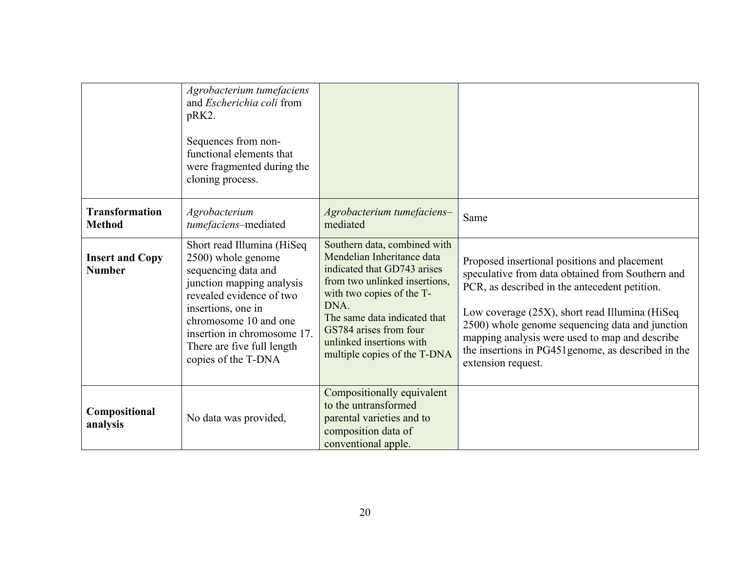|                                         | Agrobacterium tumefaciens<br>and <i>Escherichia coli</i> from<br>pRK2.<br>Sequences from non-<br>functional elements that<br>were fragmented during the<br>cloning process.                                                                                         |                                                                                                                                                                                                                                                                                       |                                                                                                                                                                                                                                                                                                                                                                                        |
|-----------------------------------------|---------------------------------------------------------------------------------------------------------------------------------------------------------------------------------------------------------------------------------------------------------------------|---------------------------------------------------------------------------------------------------------------------------------------------------------------------------------------------------------------------------------------------------------------------------------------|----------------------------------------------------------------------------------------------------------------------------------------------------------------------------------------------------------------------------------------------------------------------------------------------------------------------------------------------------------------------------------------|
| <b>Transformation</b><br><b>Method</b>  | Agrobacterium<br>tumefaciens-mediated                                                                                                                                                                                                                               | Agrobacterium tumefaciens-<br>mediated                                                                                                                                                                                                                                                | Same                                                                                                                                                                                                                                                                                                                                                                                   |
| <b>Insert and Copy</b><br><b>Number</b> | Short read Illumina (HiSeq<br>2500) whole genome<br>sequencing data and<br>junction mapping analysis<br>revealed evidence of two<br>insertions, one in<br>chromosome 10 and one<br>insertion in chromosome 17.<br>There are five full length<br>copies of the T-DNA | Southern data, combined with<br>Mendelian Inheritance data<br>indicated that GD743 arises<br>from two unlinked insertions,<br>with two copies of the T-<br>DNA.<br>The same data indicated that<br>GS784 arises from four<br>unlinked insertions with<br>multiple copies of the T-DNA | Proposed insertional positions and placement<br>speculative from data obtained from Southern and<br>PCR, as described in the antecedent petition.<br>Low coverage (25X), short read Illumina (HiSeq)<br>2500) whole genome sequencing data and junction<br>mapping analysis were used to map and describe<br>the insertions in PG451 genome, as described in the<br>extension request. |
| Compositional<br>analysis               | No data was provided,                                                                                                                                                                                                                                               | Compositionally equivalent<br>to the untransformed<br>parental varieties and to<br>composition data of<br>conventional apple.                                                                                                                                                         |                                                                                                                                                                                                                                                                                                                                                                                        |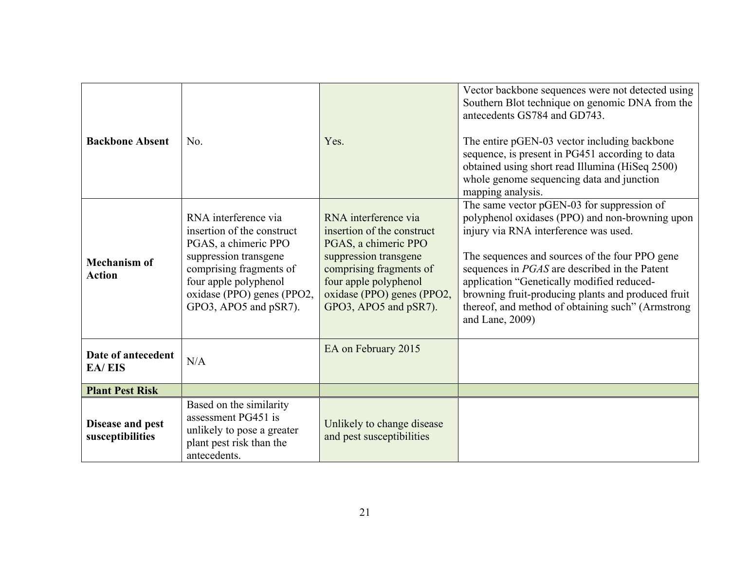| <b>Backbone Absent</b>               | No.                                                                                                                                                                                                            | Yes.                                                                                                                                                                                                           | Vector backbone sequences were not detected using<br>Southern Blot technique on genomic DNA from the<br>antecedents GS784 and GD743.<br>The entire pGEN-03 vector including backbone<br>sequence, is present in PG451 according to data<br>obtained using short read Illumina (HiSeq 2500)<br>whole genome sequencing data and junction<br>mapping analysis.                                                          |
|--------------------------------------|----------------------------------------------------------------------------------------------------------------------------------------------------------------------------------------------------------------|----------------------------------------------------------------------------------------------------------------------------------------------------------------------------------------------------------------|-----------------------------------------------------------------------------------------------------------------------------------------------------------------------------------------------------------------------------------------------------------------------------------------------------------------------------------------------------------------------------------------------------------------------|
| <b>Mechanism of</b><br><b>Action</b> | RNA interference via<br>insertion of the construct<br>PGAS, a chimeric PPO<br>suppression transgene<br>comprising fragments of<br>four apple polyphenol<br>oxidase (PPO) genes (PPO2,<br>GPO3, APO5 and pSR7). | RNA interference via<br>insertion of the construct<br>PGAS, a chimeric PPO<br>suppression transgene<br>comprising fragments of<br>four apple polyphenol<br>oxidase (PPO) genes (PPO2,<br>GPO3, APO5 and pSR7). | The same vector pGEN-03 for suppression of<br>polyphenol oxidases (PPO) and non-browning upon<br>injury via RNA interference was used.<br>The sequences and sources of the four PPO gene<br>sequences in PGAS are described in the Patent<br>application "Genetically modified reduced-<br>browning fruit-producing plants and produced fruit<br>thereof, and method of obtaining such" (Armstrong<br>and Lane, 2009) |
| Date of antecedent<br><b>EA/EIS</b>  | N/A                                                                                                                                                                                                            | EA on February 2015                                                                                                                                                                                            |                                                                                                                                                                                                                                                                                                                                                                                                                       |
| <b>Plant Pest Risk</b>               |                                                                                                                                                                                                                |                                                                                                                                                                                                                |                                                                                                                                                                                                                                                                                                                                                                                                                       |
| Disease and pest<br>susceptibilities | Based on the similarity<br>assessment PG451 is<br>unlikely to pose a greater<br>plant pest risk than the<br>antecedents.                                                                                       | Unlikely to change disease<br>and pest susceptibilities                                                                                                                                                        |                                                                                                                                                                                                                                                                                                                                                                                                                       |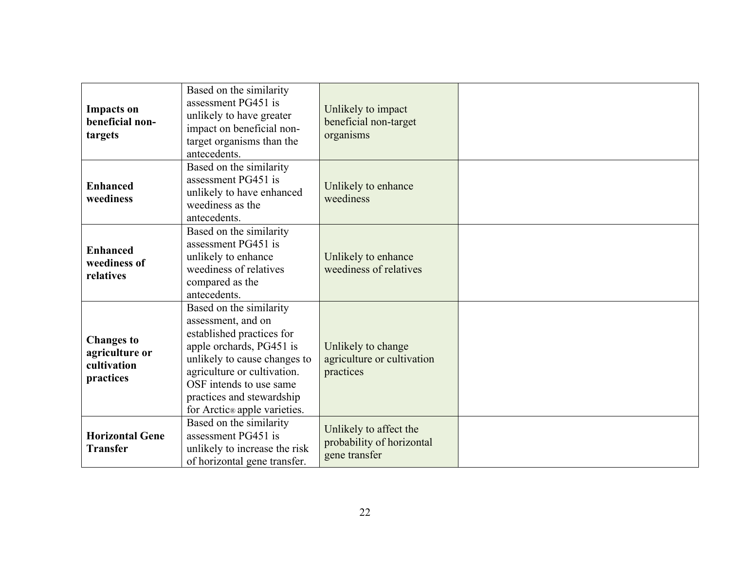| <b>Impacts</b> on<br>beneficial non-<br>targets                 | Based on the similarity<br>assessment PG451 is<br>unlikely to have greater<br>impact on beneficial non-<br>target organisms than the<br>antecedents.                                                                                                          | Unlikely to impact<br>beneficial non-target<br>organisms             |  |
|-----------------------------------------------------------------|---------------------------------------------------------------------------------------------------------------------------------------------------------------------------------------------------------------------------------------------------------------|----------------------------------------------------------------------|--|
| <b>Enhanced</b><br>weediness                                    | Based on the similarity<br>assessment PG451 is<br>unlikely to have enhanced<br>weediness as the<br>antecedents.                                                                                                                                               | Unlikely to enhance<br>weediness                                     |  |
| <b>Enhanced</b><br>weediness of<br>relatives                    | Based on the similarity<br>assessment PG451 is<br>unlikely to enhance<br>weediness of relatives<br>compared as the<br>antecedents.                                                                                                                            | Unlikely to enhance<br>weediness of relatives                        |  |
| <b>Changes to</b><br>agriculture or<br>cultivation<br>practices | Based on the similarity<br>assessment, and on<br>established practices for<br>apple orchards, PG451 is<br>unlikely to cause changes to<br>agriculture or cultivation.<br>OSF intends to use same<br>practices and stewardship<br>for Arctic® apple varieties. | Unlikely to change<br>agriculture or cultivation<br>practices        |  |
| <b>Horizontal Gene</b><br><b>Transfer</b>                       | Based on the similarity<br>assessment PG451 is<br>unlikely to increase the risk<br>of horizontal gene transfer.                                                                                                                                               | Unlikely to affect the<br>probability of horizontal<br>gene transfer |  |